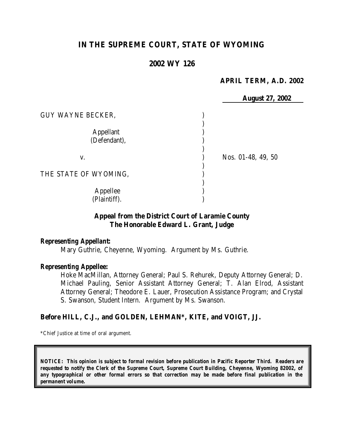# **IN THE SUPREME COURT, STATE OF WYOMING**

# **2002 WY 126**

### **APRIL TERM, A.D. 2002**

|                                  | <b>August 27, 2002</b> |
|----------------------------------|------------------------|
| <b>GUY WAYNE BECKER,</b>         |                        |
| <b>Appellant</b><br>(Defendant), |                        |
| V.                               | Nos. 01-48, 49, 50     |
| THE STATE OF WYOMING,            |                        |
| Appellee<br>(Plaintiff).         |                        |

# **Appeal from the District Court of Laramie County The Honorable Edward L. Grant, Judge**

#### *Representing Appellant:*

Mary Guthrie, Cheyenne, Wyoming. Argument by Ms. Guthrie.

#### *Representing Appellee:*

Hoke MacMillan, Attorney General; Paul S. Rehurek, Deputy Attorney General; D. Michael Pauling, Senior Assistant Attorney General; T. Alan Elrod, Assistant Attorney General; Theodore E. Lauer, Prosecution Assistance Program; and Crystal S. Swanson, Student Intern. Argument by Ms. Swanson.

#### **Before HILL, C.J., and GOLDEN, LEHMAN\*, KITE, and VOIGT, JJ.**

\*Chief Justice at time of oral argument.

*NOTICE: This opinion is subject to formal revision before publication in Pacific Reporter Third. Readers are requested to notify the Clerk of the Supreme Court, Supreme Court Building, Cheyenne, Wyoming 82002, of any typographical or other formal errors so that correction may be made before final publication in the permanent volume.*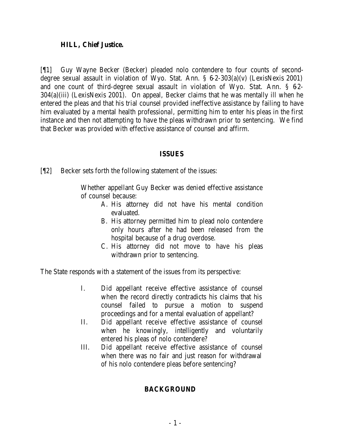### **HILL, Chief Justice.**

[¶1] Guy Wayne Becker (Becker) pleaded nolo contendere to four counts of seconddegree sexual assault in violation of Wyo. Stat. Ann. § 6-2-303(a)(v) (LexisNexis 2001) and one count of third-degree sexual assault in violation of Wyo. Stat. Ann. § 62-304(a)(iii) (LexisNexis 2001). On appeal, Becker claims that he was mentally ill when he entered the pleas and that his trial counsel provided ineffective assistance by failing to have him evaluated by a mental health professional, permitting him to enter his pleas in the first instance and then not attempting to have the pleas withdrawn prior to sentencing. We find that Becker was provided with effective assistance of counsel and affirm.

### **ISSUES**

[¶2] Becker sets forth the following statement of the issues:

Whether appellant Guy Becker was denied effective assistance of counsel because:

- A. His attorney did not have his mental condition evaluated.
- B. His attorney permitted him to plead nolo contendere only hours after he had been released from the hospital because of a drug overdose.
- C. His attorney did not move to have his pleas withdrawn prior to sentencing.

The State responds with a statement of the issues from its perspective:

- I. Did appellant receive effective assistance of counsel when the record directly contradicts his claims that his counsel failed to pursue a motion to suspend proceedings and for a mental evaluation of appellant?
- II. Did appellant receive effective assistance of counsel when he knowingly, intelligently and voluntarily entered his pleas of nolo contendere?
- III. Did appellant receive effective assistance of counsel when there was no fair and just reason for withdrawal of his nolo contendere pleas before sentencing?

# **BACKGROUND**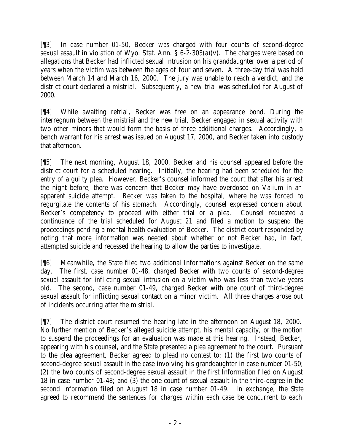[¶3] In case number 01-50, Becker was charged with four counts of second-degree sexual assault in violation of Wyo. Stat. Ann.  $\S 6$ -2-303(a)(v). The charges were based on allegations that Becker had inflicted sexual intrusion on his granddaughter over a period of years when the victim was between the ages of four and seven. A three-day trial was held between March 14 and March 16, 2000. The jury was unable to reach a verdict, and the district court declared a mistrial. Subsequently, a new trial was scheduled for August of 2000.

[¶4] While awaiting retrial, Becker was free on an appearance bond. During the interregnum between the mistrial and the new trial, Becker engaged in sexual activity with two other minors that would form the basis of three additional charges. Accordingly, a bench warrant for his arrest was issued on August 17, 2000, and Becker taken into custody that afternoon.

[¶5] The next morning, August 18, 2000, Becker and his counsel appeared before the district court for a scheduled hearing. Initially, the hearing had been scheduled for the entry of a guilty plea. However, Becker's counsel informed the court that after his arrest the night before, there was concern that Becker may have overdosed on Valium in an apparent suicide attempt. Becker was taken to the hospital, where he was forced to regurgitate the contents of his stomach. Accordingly, counsel expressed concern about Becker's competency to proceed with either trial or a plea. Counsel requested a continuance of the trial scheduled for August 21 and filed a motion to suspend the proceedings pending a mental health evaluation of Becker. The district court responded by noting that more information was needed about whether or not Becker had, in fact, attempted suicide and recessed the hearing to allow the parties to investigate.

[¶6] Meanwhile, the State filed two additional Informations against Becker on the same day. The first, case number 01-48, charged Becker with two counts of second-degree sexual assault for inflicting sexual intrusion on a victim who was less than twelve years old. The second, case number 01-49, charged Becker with one count of third-degree sexual assault for inflicting sexual contact on a minor victim. All three charges arose out of incidents occurring after the mistrial.

[¶7] The district court resumed the hearing late in the afternoon on August 18, 2000. No further mention of Becker's alleged suicide attempt, his mental capacity, or the motion to suspend the proceedings for an evaluation was made at this hearing. Instead, Becker, appearing with his counsel, and the State presented a plea agreement to the court. Pursuant to the plea agreement, Becker agreed to plead no contest to: (1) the first two counts of second-degree sexual assault in the case involving his granddaughter in case number 01-50; (2) the two counts of second-degree sexual assault in the first Information filed on August 18 in case number 01-48; and (3) the one count of sexual assault in the third-degree in the second Information filed on August 18 in case number 01-49. In exchange, the State agreed to recommend the sentences for charges within each case be concurrent to each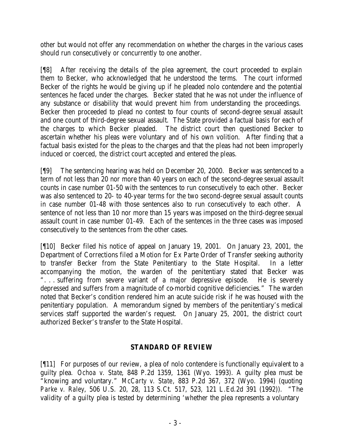other but would not offer any recommendation on whether the charges in the various cases should run consecutively or concurrently to one another.

[¶8] After receiving the details of the plea agreement, the court proceeded to explain them to Becker, who acknowledged that he understood the terms. The court informed Becker of the rights he would be giving up if he pleaded nolo contendere and the potential sentences he faced under the charges. Becker stated that he was not under the influence of any substance or disability that would prevent him from understanding the proceedings. Becker then proceeded to plead no contest to four counts of second-degree sexual assault and one count of third-degree sexual assault. The State provided a factual basis for each of the charges to which Becker pleaded. The district court then questioned Becker to ascertain whether his pleas were voluntary and of his own volition. After finding that a factual basis existed for the pleas to the charges and that the pleas had not been improperly induced or coerced, the district court accepted and entered the pleas.

[¶9] The sentencing hearing was held on December 20, 2000. Becker was sentenced to a term of not less than 20 nor more than 40 years on each of the second-degree sexual assault counts in case number 01-50 with the sentences to run consecutively to each other. Becker was also sentenced to 20- to 40-year terms for the two second-degree sexual assault counts in case number 01-48 with those sentences also to run consecutively to each other. A sentence of not less than 10 nor more than 15 years was imposed on the third-degree sexual assault count in case number 01-49. Each of the sentences in the three cases was imposed consecutively to the sentences from the other cases.

[¶10] Becker filed his notice of appeal on January 19, 2001. On January 23, 2001, the Department of Corrections filed a Motion for Ex Parte Order of Transfer seeking authority to transfer Becker from the State Penitentiary to the State Hospital. In a letter accompanying the motion, the warden of the penitentiary stated that Becker was ". . . suffering from severe variant of a major depressive episode. He is severely depressed and suffers from a magnitude of co-morbid cognitive deficiencies." The warden noted that Becker's condition rendered him an acute suicide risk if he was housed with the penitentiary population. A memorandum signed by members of the penitentiary's medical services staff supported the warden's request. On January 25, 2001, the district court authorized Becker's transfer to the State Hospital.

# **STANDARD OF REVIEW**

[¶11] For purposes of our review, a plea of nolo contendere is functionally equivalent to a guilty plea. *Ochoa v. State*, 848 P.2d 1359, 1361 (Wyo. 1993). A guilty plea must be "knowing and voluntary." *McCarty v. State*, 883 P.2d 367, 372 (Wyo. 1994) (quoting *Parke v. Raley*, 506 U.S. 20, 28, 113 S.Ct. 517, 523, 121 L.Ed.2d 391 (1992)). "The validity of a guilty plea is tested by determining 'whether the plea represents a voluntary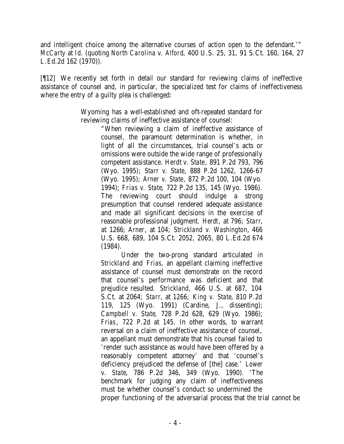and intelligent choice among the alternative courses of action open to the defendant.'" *McCarty* at *Id*. (quoting *North Carolina v. Alford*, 400 U.S. 25, 31, 91 S.Ct. 160, 164, 27 L.Ed.2d 162 (1970)).

[¶12] We recently set forth in detail our standard for reviewing claims of ineffective assistance of counsel and, in particular, the specialized test for claims of ineffectiveness where the entry of a guilty plea is challenged:

> Wyoming has a well-established and oft-repeated standard for reviewing claims of ineffective assistance of counsel:

> > "When reviewing a claim of ineffective assistance of counsel, the paramount determination is whether, in light of all the circumstances, trial counsel's acts or omissions were outside the wide range of professionally competent assistance. *Herdt v. State*, 891 P.2d 793, 796 (Wyo. 1995); *Starr v. State*, 888 P.2d 1262, 1266-67 (Wyo. 1995); *Arner v. State*, 872 P.2d 100, 104 (Wyo. 1994); *Frias v. State*, 722 P.2d 135, 145 (Wyo. 1986). The reviewing court should indulge a strong presumption that counsel rendered adequate assistance and made all significant decisions in the exercise of reasonable professional judgment. *Herdt*, at 796; *Starr*, at 1266; *Arner*, at 104; *Strickland v. Washington*, 466 U.S. 668, 689, 104 S.Ct. 2052, 2065, 80 L.Ed.2d 674 (1984).

Under the two-prong standard articulated in *Strickland* and *Frias*, an appellant claiming ineffective assistance of counsel must demonstrate on the record that counsel's performance was deficient and that prejudice resulted. *Strickland*, 466 U.S. at 687, 104 S.Ct. at 2064; *Starr*, at 1266; *King v. State*, 810 P.2d 119, 125 (Wyo. 1991) (Cardine, J., dissenting); *Campbell v. State*, 728 P.2d 628, 629 (Wyo. 1986); *Frias*, 722 P.2d at 145. In other words, to warrant reversal on a claim of ineffective assistance of counsel, an appellant must demonstrate that his counsel failed to 'render such assistance as would have been offered by a reasonably competent attorney' and that 'counsel's deficiency prejudiced the defense of [the] case.' *Lower v. State*, 786 P.2d 346, 349 (Wyo. 1990). 'The benchmark for judging any claim of ineffectiveness must be whether counsel's conduct so undermined the proper functioning of the adversarial process that the trial cannot be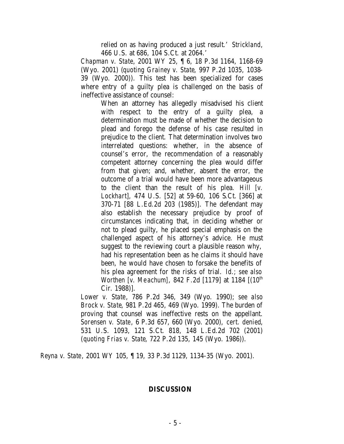relied on as having produced a just result.' *Strickland*, 466 U.S. at 686, 104 S.Ct. at 2064.'

*Chapman v. State*, 2001 WY 25, ¶ 6, 18 P.3d 1164, 1168-69 (Wyo. 2001) (*quoting Grainey v. State*, 997 P.2d 1035, 1038- 39 (Wyo. 2000)). This test has been specialized for cases where entry of a guilty plea is challenged on the basis of ineffective assistance of counsel:

> When an attorney has allegedly misadvised his client with respect to the entry of a guilty plea, a determination must be made of whether the decision to plead and forego the defense of his case resulted in prejudice to the client. That determination involves two interrelated questions: whether, in the absence of counsel's error, the recommendation of a reasonably competent attorney concerning the plea would differ from that given; and, whether, absent the error, the outcome of a trial would have been more advantageous to the client than the result of his plea. *Hill [v. Lockhart],* 474 U.S. [52] at 59-60, 106 S.Ct. [366] at 370-71 [88 L.Ed.2d 203 (1985)]. The defendant may also establish the necessary prejudice by proof of circumstances indicating that, in deciding whether or not to plead guilty, he placed special emphasis on the challenged aspect of his attorney's advice. He must suggest to the reviewing court a plausible reason why, had his representation been as he claims it should have been, he would have chosen to forsake the benefits of his plea agreement for the risks of trial. *Id.; see also Worthen [v. Meachum]*, 842 F.2d [1179] at 1184  $[(10<sup>th</sup>$ Cir. 1988)].

*Lower v. State*, 786 P.2d 346, 349 (Wyo. 1990); *see also Brock v. State*, 981 P.2d 465, 469 (Wyo. 1999). The burden of proving that counsel was ineffective rests on the appellant. *Sorensen v. State*, 6 P.3d 657, 660 (Wyo. 2000), *cert. denied*, 531 U.S. 1093, 121 S.Ct. 818, 148 L.Ed.2d 702 (2001) (*quoting Frias v. State*, 722 P.2d 135, 145 (Wyo. 1986)).

*Reyna v. State*, 2001 WY 105, ¶ 19, 33 P.3d 1129, 1134-35 (Wyo. 2001).

### **DISCUSSION**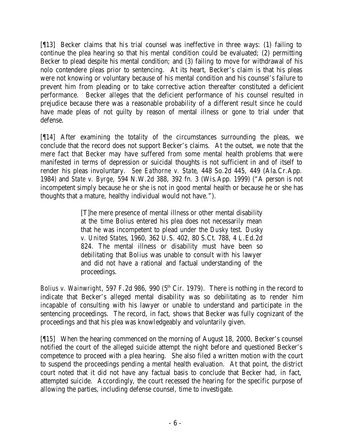[¶13] Becker claims that his trial counsel was ineffective in three ways: (1) failing to continue the plea hearing so that his mental condition could be evaluated; (2) permitting Becker to plead despite his mental condition; and (3) failing to move for withdrawal of his nolo contendere pleas prior to sentencing. At its heart, Becker's claim is that his pleas were not knowing or voluntary because of his mental condition and his counsel's failure to prevent him from pleading or to take corrective action thereafter constituted a deficient performance. Becker alleges that the deficient performance of his counsel resulted in prejudice because there was a reasonable probability of a different result since he could have made pleas of not guilty by reason of mental illness or gone to trial under that defense.

[¶14] After examining the totality of the circumstances surrounding the pleas, we conclude that the record does not support Becker's claims. At the outset, we note that the mere fact that Becker may have suffered from some mental health problems that were manifested in terms of depression or suicidal thoughts is not sufficient in and of itself to render his pleas involuntary. *See Eathorne v. State*, 448 So.2d 445, 449 (Ala.Cr.App. 1984) and *State v. Byrge*, 594 N.W.2d 388, 392 fn. 3 (Wis.App. 1999) ("A person is not incompetent simply because he or she is not in good mental health or because he or she has thoughts that a mature, healthy individual would not have.").

> [T]he mere presence of mental illness or other mental disability at the time Bolius entered his plea does not necessarily mean that he was incompetent to plead under the *Dusky* test. *Dusky v. United States*, 1960, 362 U.S. 402, 80 S.Ct. 788, 4 L.Ed.2d 824. The mental illness or disability must have been so debilitating that Bolius was unable to consult with his lawyer and did not have a rational and factual understanding of the proceedings.

*Bolius v. Wainwright*, 597 F.2d 986, 990 (5<sup>th</sup> Cir. 1979). There is nothing in the record to indicate that Becker's alleged mental disability was so debilitating as to render him incapable of consulting with his lawyer or unable to understand and participate in the sentencing proceedings. The record, in fact, shows that Becker was fully cognizant of the proceedings and that his plea was knowledgeably and voluntarily given.

[¶15] When the hearing commenced on the morning of August 18, 2000, Becker's counsel notified the court of the alleged suicide attempt the night before and questioned Becker's competence to proceed with a plea hearing. She also filed a written motion with the court to suspend the proceedings pending a mental health evaluation. At that point, the district court noted that it did not have any factual basis to conclude that Becker had, in fact, attempted suicide. Accordingly, the court recessed the hearing for the specific purpose of allowing the parties, including defense counsel, time to investigate.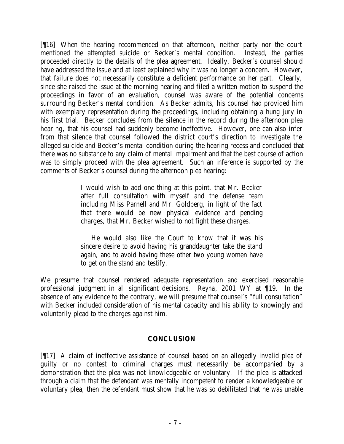[¶16] When the hearing recommenced on that afternoon, neither party nor the court mentioned the attempted suicide or Becker's mental condition. Instead, the parties proceeded directly to the details of the plea agreement. Ideally, Becker's counsel should have addressed the issue and at least explained why it was no longer a concern. However, that failure does not necessarily constitute a deficient performance on her part. Clearly, since she raised the issue at the morning hearing and filed a written motion to suspend the proceedings in favor of an evaluation, counsel was aware of the potential concerns surrounding Becker's mental condition. As Becker admits, his counsel had provided him with exemplary representation during the proceedings, including obtaining a hung jury in his first trial. Becker concludes from the silence in the record during the afternoon plea hearing, that his counsel had suddenly become ineffective. However, one can also infer from that silence that counsel followed the district court's direction to investigate the alleged suicide and Becker's mental condition during the hearing recess and concluded that there was no substance to any claim of mental impairment and that the best course of action was to simply proceed with the plea agreement. Such an inference is supported by the comments of Becker's counsel during the afternoon plea hearing:

> I would wish to add one thing at this point, that Mr. Becker after full consultation with myself and the defense team including Miss Parnell and Mr. Goldberg, in light of the fact that there would be new physical evidence and pending charges, that Mr. Becker wished to not fight these charges.

> He would also like the Court to know that it was his sincere desire to avoid having his granddaughter take the stand again, and to avoid having these other two young women have to get on the stand and testify.

We presume that counsel rendered adequate representation and exercised reasonable professional judgment in all significant decisions. *Reyna*, 2001 WY at ¶19. In the absence of any evidence to the contrary, we will presume that counsel's "full consultation" with Becker included consideration of his mental capacity and his ability to knowingly and voluntarily plead to the charges against him.

# **CONCLUSION**

[¶17] A claim of ineffective assistance of counsel based on an allegedly invalid plea of guilty or no contest to criminal charges must necessarily be accompanied by a demonstration that the plea was not knowledgeable or voluntary. If the plea is attacked through a claim that the defendant was mentally incompetent to render a knowledgeable or voluntary plea, then the defendant must show that he was so debilitated that he was unable